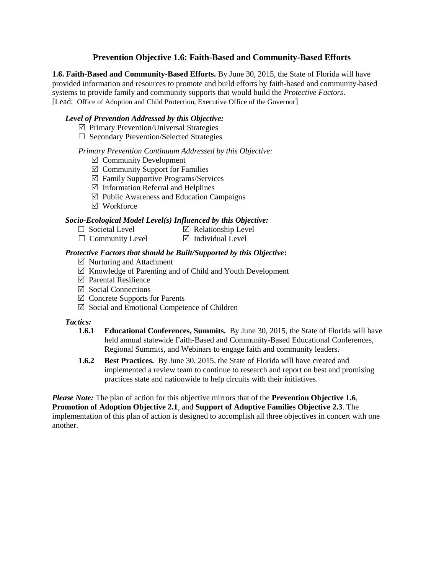# **Prevention Objective 1.6: Faith-Based and Community-Based Efforts**

**1.6. Faith-Based and Community-Based Efforts.** By June 30, 2015, the State of Florida will have provided information and resources to promote and build efforts by faith-based and community-based systems to provide family and community supports that would build the *Protective Factors*. [Lead: Office of Adoption and Child Protection, Executive Office of the Governor]

#### *Level of Prevention Addressed by this Objective:*

- $\triangledown$  Primary Prevention/Universal Strategies
- $\Box$  Secondary Prevention/Selected Strategies

## *Primary Prevention Continuum Addressed by this Objective:*

- $\boxtimes$  Community Development
- $\boxtimes$  Community Support for Families
- $\boxtimes$  Family Supportive Programs/Services
- $\boxtimes$  Information Referral and Helplines
- $\boxtimes$  Public Awareness and Education Campaigns
- Workforce

## *Socio-Ecological Model Level(s) Influenced by this Objective:*

- $\Box$  Societal Level  $\Box$  Relationship Level
- $\Box$  Community Level  $\Box$  Individual Level

## *Protective Factors that should be Built/Supported by this Objective***:**

- $\triangledown$  Nurturing and Attachment
- $\boxtimes$  Knowledge of Parenting and of Child and Youth Development
- $\boxtimes$  Parental Resilience
- $\triangledown$  Social Connections
- $\boxtimes$  Concrete Supports for Parents
- $\boxtimes$  Social and Emotional Competence of Children

#### *Tactics:*

- **1.6.1 Educational Conferences, Summits.** By June 30, 2015, the State of Florida will have held annual statewide Faith-Based and Community-Based Educational Conferences, Regional Summits, and Webinars to engage faith and community leaders.
- **1.6.2 Best Practices.** By June 30, 2015, the State of Florida will have created and implemented a review team to continue to research and report on best and promising practices state and nationwide to help circuits with their initiatives.

*Please Note:* The plan of action for this objective mirrors that of the **Prevention Objective 1.6**, **Promotion of Adoption Objective 2.1**, and **Support of Adoptive Families Objective 2.3**. The implementation of this plan of action is designed to accomplish all three objectives in concert with one another.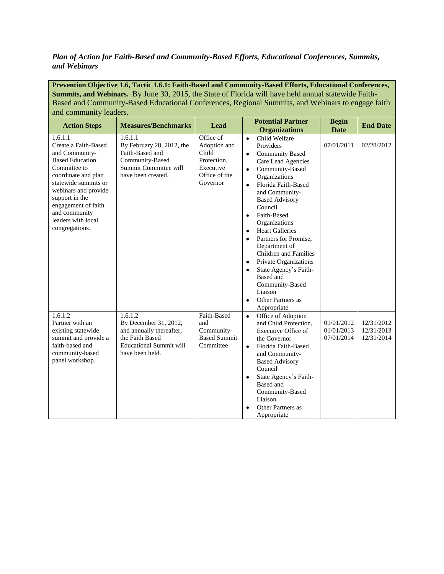## *Plan of Action for Faith-Based and Community-Based Efforts, Educational Conferences, Summits, and Webinars*

**Prevention Objective 1.6, Tactic 1.6.1: Faith-Based and Community-Based Efforts, Educational Conferences, Summits, and Webinars.** By June 30, 2015, the State of Florida will have held annual statewide Faith-Based and Community-Based Educational Conferences, Regional Summits, and Webinars to engage faith and community leaders.

| <b>Action Steps</b>                                                                                                                                                                                                                                                  | <b>Measures/Benchmarks</b>                                                                                                           | <b>Lead</b>                                                                                 | <b>Potential Partner</b><br><b>Organizations</b>                                                                                                                                                                                                                                                                                                                                                                                                                                                                                                               | <b>Begin</b><br><b>Date</b>            | <b>End Date</b>                        |
|----------------------------------------------------------------------------------------------------------------------------------------------------------------------------------------------------------------------------------------------------------------------|--------------------------------------------------------------------------------------------------------------------------------------|---------------------------------------------------------------------------------------------|----------------------------------------------------------------------------------------------------------------------------------------------------------------------------------------------------------------------------------------------------------------------------------------------------------------------------------------------------------------------------------------------------------------------------------------------------------------------------------------------------------------------------------------------------------------|----------------------------------------|----------------------------------------|
| 1.6.1.1<br>Create a Faith-Based<br>and Community-<br><b>Based Education</b><br>Committee to<br>coordinate and plan<br>statewide summits or<br>webinars and provide<br>support in the<br>engagement of faith<br>and community<br>leaders with local<br>congregations. | 1.6.1.1<br>By February 28, 2012, the<br>Faith-Based and<br>Community-Based<br>Summit Committee will<br>have been created.            | Office of<br>Adoption and<br>Child<br>Protection.<br>Executive<br>Office of the<br>Governor | Child Welfare<br>$\bullet$<br>Providers<br><b>Community Based</b><br>٠<br>Care Lead Agencies<br>Community-Based<br>$\bullet$<br>Organizations<br>Florida Faith-Based<br>$\bullet$<br>and Community-<br><b>Based Advisory</b><br>Council<br>Faith-Based<br>$\bullet$<br>Organizations<br><b>Heart Galleries</b><br>$\bullet$<br>Partners for Promise,<br>٠<br>Department of<br>Children and Families<br>Private Organizations<br>State Agency's Faith-<br>$\bullet$<br>Based and<br>Community-Based<br>Liaison<br>Other Partners as<br>$\bullet$<br>Appropriate | 07/01/2011                             | 02/28/2012                             |
| 1.6.1.2<br>Partner with an<br>existing statewide<br>summit and provide a<br>faith-based and<br>community-based<br>panel workshop.                                                                                                                                    | 1.6.1.2<br>By December 31, 2012,<br>and annually thereafter,<br>the Faith Based<br><b>Educational Summit will</b><br>have been held. | Faith-Based<br>and<br>Community-<br><b>Based Summit</b><br>Committee                        | Office of Adoption<br>$\bullet$<br>and Child Protection.<br>Executive Office of<br>the Governor<br>Florida Faith-Based<br>$\bullet$<br>and Community-<br><b>Based Advisory</b><br>Council<br>State Agency's Faith-<br><b>Based</b> and<br>Community-Based<br>Liaison<br>Other Partners as<br>Appropriate                                                                                                                                                                                                                                                       | 01/01/2012<br>01/01/2013<br>07/01/2014 | 12/31/2012<br>12/31/2013<br>12/31/2014 |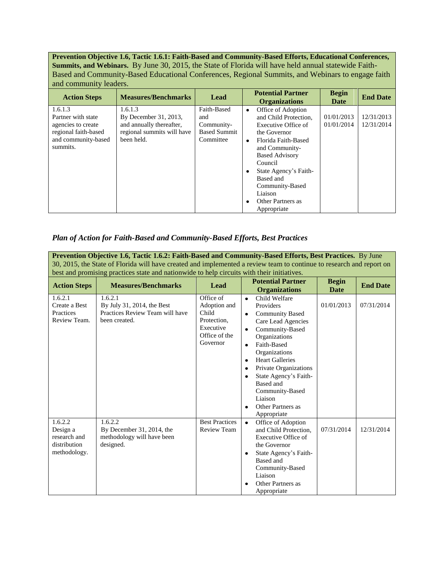**Prevention Objective 1.6, Tactic 1.6.1: Faith-Based and Community-Based Efforts, Educational Conferences, Summits, and Webinars.** By June 30, 2015, the State of Florida will have held annual statewide Faith-Based and Community-Based Educational Conferences, Regional Summits, and Webinars to engage faith and community leaders.

| <b>Action Steps</b>                                                                                            | <b>Measures/Benchmarks</b>                                                                               | Lead                                                                 | <b>Potential Partner</b><br><b>Organizations</b>                                                                                                                                                                                                              | <b>Begin</b><br>Date     | <b>End Date</b>          |
|----------------------------------------------------------------------------------------------------------------|----------------------------------------------------------------------------------------------------------|----------------------------------------------------------------------|---------------------------------------------------------------------------------------------------------------------------------------------------------------------------------------------------------------------------------------------------------------|--------------------------|--------------------------|
| 1.6.1.3<br>Partner with state<br>agencies to create<br>regional faith-based<br>and community-based<br>summits. | 1.6.1.3<br>By December 31, 2013,<br>and annually thereafter,<br>regional summits will have<br>been held. | Faith-Based<br>and<br>Community-<br><b>Based Summit</b><br>Committee | Office of Adoption<br>٠<br>and Child Protection.<br>Executive Office of<br>the Governor<br>Florida Faith-Based<br>and Community-<br><b>Based Advisory</b><br>Council<br>State Agency's Faith-<br>Based and<br>Community-Based<br>Liaison<br>Other Partners as | 01/01/2013<br>01/01/2014 | 12/31/2013<br>12/31/2014 |
|                                                                                                                |                                                                                                          |                                                                      | Appropriate                                                                                                                                                                                                                                                   |                          |                          |

## *Plan of Action for Faith-Based and Community-Based Efforts, Best Practices*

**Prevention Objective 1.6, Tactic 1.6.2: Faith-Based and Community-Based Efforts, Best Practices.** By June 30, 2015, the State of Florida will have created and implemented a review team to continue to research and report on best and promising practices state and nationwide to help circuits with their initiatives.

| <b>Action Steps</b>                                                 | <b>Measures/Benchmarks</b>                                                                | Lead                                                                                        | <b>Potential Partner</b><br><b>Organizations</b>                                                                                                                                                                                                                                                                                                                                | <b>Begin</b><br>Date | <b>End Date</b> |
|---------------------------------------------------------------------|-------------------------------------------------------------------------------------------|---------------------------------------------------------------------------------------------|---------------------------------------------------------------------------------------------------------------------------------------------------------------------------------------------------------------------------------------------------------------------------------------------------------------------------------------------------------------------------------|----------------------|-----------------|
| 1.6.2.1<br>Create a Best<br>Practices<br>Review Team.               | 1.6.2.1<br>By July 31, 2014, the Best<br>Practices Review Team will have<br>been created. | Office of<br>Adoption and<br>Child<br>Protection,<br>Executive<br>Office of the<br>Governor | Child Welfare<br>$\bullet$<br>Providers<br><b>Community Based</b><br>$\bullet$<br>Care Lead Agencies<br>Community-Based<br>٠<br>Organizations<br>Faith-Based<br>$\bullet$<br>Organizations<br><b>Heart Galleries</b><br>$\bullet$<br>Private Organizations<br>$\bullet$<br>State Agency's Faith-<br>Based and<br>Community-Based<br>Liaison<br>Other Partners as<br>Appropriate | 01/01/2013           | 07/31/2014      |
| 1.6.2.2<br>Design a<br>research and<br>distribution<br>methodology. | 1.6.2.2<br>By December 31, 2014, the<br>methodology will have been<br>designed.           | <b>Best Practices</b><br>Review Team                                                        | Office of Adoption<br>$\bullet$<br>and Child Protection,<br>Executive Office of<br>the Governor<br>State Agency's Faith-<br>Based and<br>Community-Based<br>Liaison<br>Other Partners as<br>Appropriate                                                                                                                                                                         | 07/31/2014           | 12/31/2014      |